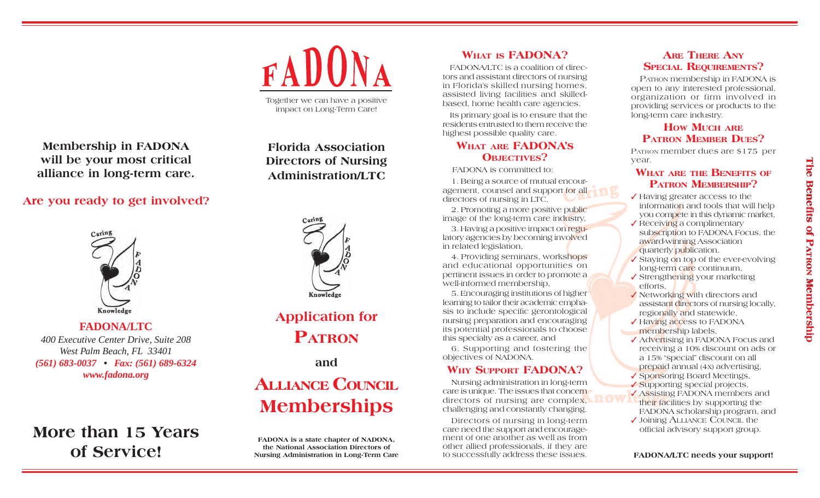

Together we can have a positive impact on Long-Term Care!

**Membership in FADONA will be your most critical alliance in long-term care.**

# **Are you ready to get involved?**



**FADONA/LTC***400 Executive Center Drive, Suite 208 West Palm Beach, FL 33401 (561) 683-0037 • Fax: (561) 689-6324 www.fadona.org*

# **More than 15 Yearsof Service!**

# **Florida AssociationDirectors of Nursing Administration/LTC**



# **Application for PATRON**

**and**

# **ALLIANCE COUNCILMemberships**

**FADONA is a state chapter of NADONA, the National Association Directors ofNursing Administration in Long-Term Care**

# **WHAT IS FADONA?**

FADONA/LTC is a coalition of directors and assistant directors of nursing in Florida's skilled nursing homes, assisted living facilities and skilledbased, home health care agencies.

Its primary goal is to ensure that the residents entrusted to them receive thehighest possible quality care.

# **WHAT ARE FADONA's OBJECTIVES?**

FADONA is committed to:

1. Being a source of mutual encouragement, counsel and support for all directors of nursing in LTC,

2. Promoting a more positive public image of the long-term care industry,

3. Having a positive impact on regulatory agencies by becoming involved in related legislation,

4. Providing seminars, workshops and educational opportunities on pertinent issues in order to promote a well-informed membership,

5. Encouraging institutions of higher learning to tailor their academic emphasis to include specific gerontological nursing preparation and encouraging its potential professionals to choose this specialty as a career, and

6. Supporting and fostering the objectives of NADONA.

# **WHY SUPPORT FADONA?**

Nursing administration in long-term care is unique. The issues that concern directors of nursing are complex, challenging and constantly changing.

Directors of nursing in long-term care need the support and encouragement of one another as well as fromother allied professionals, if they are to successfully address these issues.

## **ARE THERE ANY**SPECIAL REQUIREMENTS?

PATRON membership in FADONA is open to any interested professional, organization or firm involved in providing services or products to the long-term care industry.

# **HOW MUCH ARE PATRON MEMBER DUES?**

PATRON member dues are \$175 per year.

### **WHAT ARE THE BENEFITS OF PATRON MEMBERSHIP?**

- ✓ Having greater access to the information and tools that will help you compete in this dynamic market,
- ✓ Receiving a complimentary subscription to FADONA Focus, the award-winning Association quarterly publication,
- ✓ Staying on top of the ever-evolving long-term care continuum,
- ✔ Strengthening your marketing efforts,
- ✓ Networking with directors and assistant directors of nursing locally, regionally and statewide,
- ✔ Having access to FADONA membership labels,
- ✓ Advertising in FADONA Focus and receiving a 10% discount on ads or a 15% "special" discount on all prepaid annual (4x) advertising, ✓ Sponsoring Board Meetings, ✓ Supporting special projects,
- ✓ Assisting FADONA members and their facilities by supporting the FADONA scholarship program, and ✓ Joining ALLIANCE COUNCIL the
- official advisory support group.

**FADONA/LTC needs your support!**